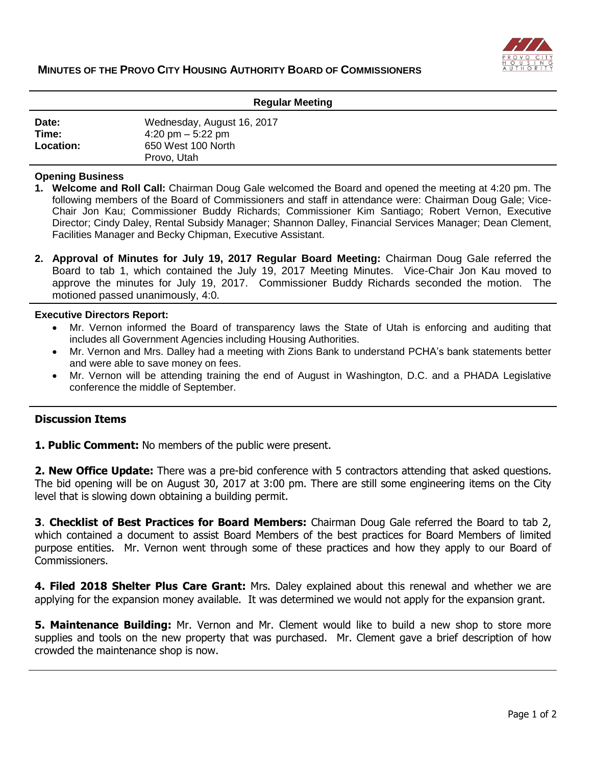

| <b>Regular Meeting</b> |  |
|------------------------|--|
|------------------------|--|

| Date:            | Wednesday, August 16, 2017 |
|------------------|----------------------------|
| Time:            | 4:20 pm $-$ 5:22 pm        |
| <b>Location:</b> | 650 West 100 North         |
|                  | Provo, Utah                |

#### **Opening Business**

- **1. Welcome and Roll Call:** Chairman Doug Gale welcomed the Board and opened the meeting at 4:20 pm. The following members of the Board of Commissioners and staff in attendance were: Chairman Doug Gale; Vice-Chair Jon Kau; Commissioner Buddy Richards; Commissioner Kim Santiago; Robert Vernon, Executive Director; Cindy Daley, Rental Subsidy Manager; Shannon Dalley, Financial Services Manager; Dean Clement, Facilities Manager and Becky Chipman, Executive Assistant.
- **2. Approval of Minutes for July 19, 2017 Regular Board Meeting:** Chairman Doug Gale referred the Board to tab 1, which contained the July 19, 2017 Meeting Minutes. Vice-Chair Jon Kau moved to approve the minutes for July 19, 2017. Commissioner Buddy Richards seconded the motion. The motioned passed unanimously, 4:0.

#### **Executive Directors Report:**

- Mr. Vernon informed the Board of transparency laws the State of Utah is enforcing and auditing that includes all Government Agencies including Housing Authorities.
- Mr. Vernon and Mrs. Dalley had a meeting with Zions Bank to understand PCHA's bank statements better and were able to save money on fees.
- Mr. Vernon will be attending training the end of August in Washington, D.C. and a PHADA Legislative conference the middle of September.

### **Discussion Items**

**1. Public Comment:** No members of the public were present.

**2. New Office Update:** There was a pre-bid conference with 5 contractors attending that asked questions. The bid opening will be on August 30, 2017 at 3:00 pm. There are still some engineering items on the City level that is slowing down obtaining a building permit.

**3**. **Checklist of Best Practices for Board Members:** Chairman Doug Gale referred the Board to tab 2, which contained a document to assist Board Members of the best practices for Board Members of limited purpose entities. Mr. Vernon went through some of these practices and how they apply to our Board of Commissioners.

**4. Filed 2018 Shelter Plus Care Grant:** Mrs. Daley explained about this renewal and whether we are applying for the expansion money available. It was determined we would not apply for the expansion grant.

**5. Maintenance Building:** Mr. Vernon and Mr. Clement would like to build a new shop to store more supplies and tools on the new property that was purchased. Mr. Clement gave a brief description of how crowded the maintenance shop is now.